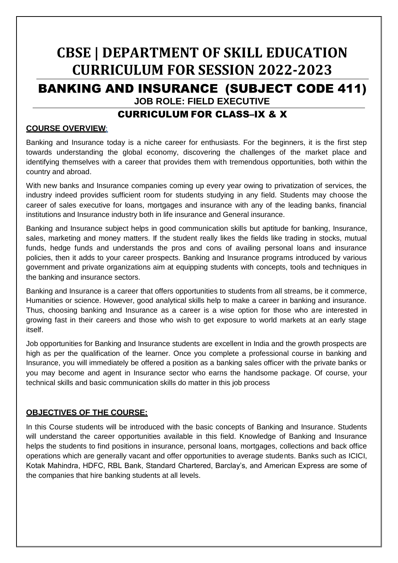# **CBSE | DEPARTMENT OF SKILL EDUCATION CURRICULUM FOR SESSION 2022-2023** BANKING AND INSURANCE (SUBJECT CODE 411) **JOB ROLE: FIELD EXECUTIVE**

# CURRICULUM FOR CLASS–IX & X

#### **COURSE OVERVIEW**:

Banking and Insurance today is a niche career for enthusiasts. For the beginners, it is the first step towards understanding the global economy, discovering the challenges of the market place and identifying themselves with a career that provides them with tremendous opportunities, both within the country and abroad.

With new banks and Insurance companies coming up every year owing to privatization of services, the industry indeed provides sufficient room for students studying in any field. Students may choose the career of sales executive for loans, mortgages and insurance with any of the leading banks, financial institutions and Insurance industry both in life insurance and General insurance.

Banking and Insurance subject helps in good communication skills but aptitude for banking, Insurance, sales, marketing and money matters. If the student really likes the fields like trading in stocks, mutual funds, hedge funds and understands the pros and cons of availing personal loans and insurance policies, then it adds to your career prospects. Banking and Insurance programs introduced by various government and private organizations aim at equipping students with concepts, tools and techniques in the banking and insurance sectors.

Banking and Insurance is a career that offers opportunities to students from all streams, be it commerce, Humanities or science. However, good analytical skills help to make a career in banking and insurance. Thus, choosing banking and Insurance as a career is a wise option for those who are interested in growing fast in their careers and those who wish to get exposure to world markets at an early stage itself.

Job opportunities for Banking and Insurance students are excellent in India and the growth prospects are high as per the qualification of the learner. Once you complete a professional course in banking and Insurance, you will immediately be offered a position as a banking sales officer with the private banks or you may become and agent in Insurance sector who earns the handsome package. Of course, your technical skills and basic communication skills do matter in this job process

# **OBJECTIVES OF THE COURSE:**

In this Course students will be introduced with the basic concepts of Banking and Insurance. Students will understand the career opportunities available in this field. Knowledge of Banking and Insurance helps the students to find positions in insurance, personal loans, mortgages, collections and back office operations which are generally vacant and offer opportunities to average students. Banks such as ICICI, Kotak Mahindra, HDFC, RBL Bank, Standard Chartered, Barclay's, and American Express are some of the companies that hire banking students at all levels.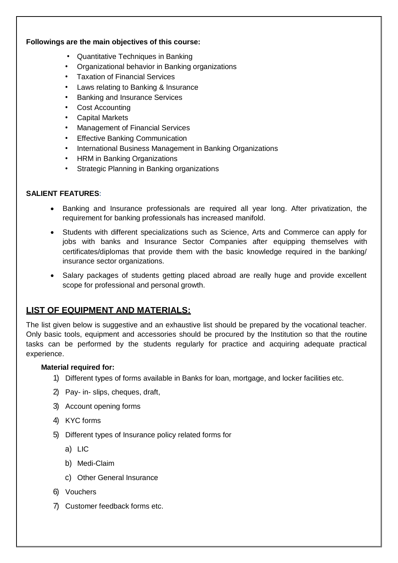#### **Followings are the main objectives of this course:**

- Quantitative Techniques in Banking
- Organizational behavior in Banking organizations
- Taxation of Financial Services
- Laws relating to Banking & Insurance
- Banking and Insurance Services
- Cost Accounting
- Capital Markets
- Management of Financial Services
- **Effective Banking Communication**
- International Business Management in Banking Organizations
- HRM in Banking Organizations
- Strategic Planning in Banking organizations

#### **SALIENT FEATURES**:

- Banking and Insurance professionals are required all year long. After privatization, the requirement for banking professionals has increased manifold.
- Students with different specializations such as Science, Arts and Commerce can apply for jobs with banks and Insurance Sector Companies after equipping themselves with certificates/diplomas that provide them with the basic knowledge required in the banking/ insurance sector organizations.
- Salary packages of students getting placed abroad are really huge and provide excellent scope for professional and personal growth.

# **LIST OF EQUIPMENT AND MATERIALS:**

The list given below is suggestive and an exhaustive list should be prepared by the vocational teacher. Only basic tools, equipment and accessories should be procured by the Institution so that the routine tasks can be performed by the students regularly for practice and acquiring adequate practical experience.

#### **Material required for:**

- 1) Different types of forms available in Banks for loan, mortgage, and locker facilities etc.
- 2) Pay- in- slips, cheques, draft,
- 3) Account opening forms
- 4) KYC forms
- 5) Different types of Insurance policy related forms for
	- a) LIC
	- b) Medi-Claim
	- c) Other General Insurance
- 6) Vouchers
- 7) Customer feedback forms etc.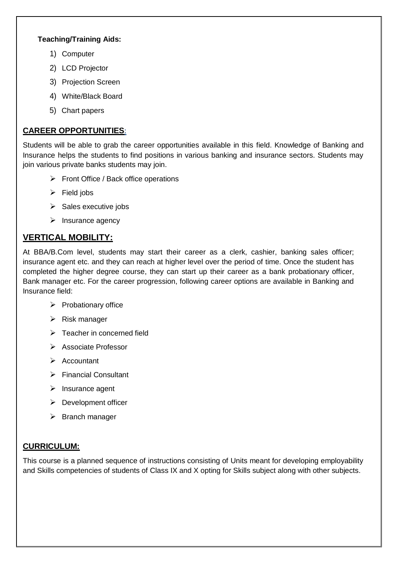#### **Teaching/Training Aids:**

- 1) Computer
- 2) LCD Projector
- 3) Projection Screen
- 4) White/Black Board
- 5) Chart papers

# **CAREER OPPORTUNITIES**:

Students will be able to grab the career opportunities available in this field. Knowledge of Banking and Insurance helps the students to find positions in various banking and insurance sectors. Students may join various private banks students may join.

- $\triangleright$  Front Office / Back office operations
- $\triangleright$  Field jobs
- $\triangleright$  Sales executive jobs
- $\triangleright$  Insurance agency

# **VERTICAL MOBILITY:**

At BBA/B.Com level, students may start their career as a clerk, cashier, banking sales officer; insurance agent etc. and they can reach at higher level over the period of time. Once the student has completed the higher degree course, they can start up their career as a bank probationary officer, Bank manager etc. For the career progression, following career options are available in Banking and Insurance field:

- $\triangleright$  Probationary office
- $\triangleright$  Risk manager
- $\triangleright$  Teacher in concerned field
- Associate Professor
- $\triangleright$  Accountant
- $\triangleright$  Financial Consultant
- $\triangleright$  Insurance agent
- $\triangleright$  Development officer
- $\triangleright$  Branch manager

# **CURRICULUM:**

This course is a planned sequence of instructions consisting of Units meant for developing employability and Skills competencies of students of Class IX and X opting for Skills subject along with other subjects.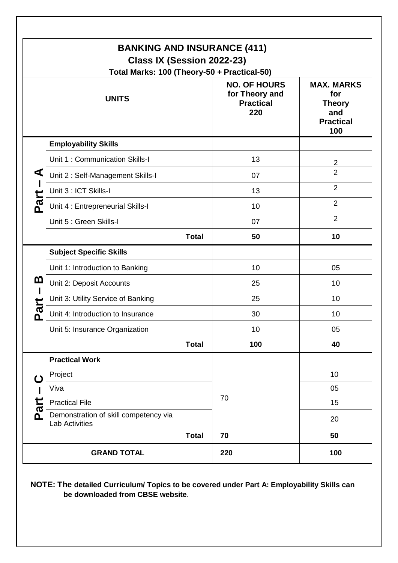|          | <b>BANKING AND INSURANCE (411)</b><br>Class IX (Session 2022-23)<br>Total Marks: 100 (Theory-50 + Practical-50) |              |                                                                  |                                                                             |
|----------|-----------------------------------------------------------------------------------------------------------------|--------------|------------------------------------------------------------------|-----------------------------------------------------------------------------|
|          | <b>UNITS</b>                                                                                                    |              | <b>NO. OF HOURS</b><br>for Theory and<br><b>Practical</b><br>220 | <b>MAX. MARKS</b><br>for<br><b>Theory</b><br>and<br><b>Practical</b><br>100 |
|          | <b>Employability Skills</b>                                                                                     |              |                                                                  |                                                                             |
|          | Unit 1: Communication Skills-I                                                                                  |              | 13                                                               | $\overline{2}$                                                              |
| ⋖        | Unit 2: Self-Management Skills-I                                                                                |              | 07                                                               | $\overline{2}$                                                              |
|          | Unit 3 : ICT Skills-I                                                                                           |              | 13                                                               | $\overline{2}$                                                              |
| Part     | Unit 4 : Entrepreneurial Skills-I                                                                               |              | 10                                                               | $\overline{2}$                                                              |
|          | Unit 5 : Green Skills-I                                                                                         |              | 07                                                               | $\overline{2}$                                                              |
|          |                                                                                                                 | <b>Total</b> | 50                                                               | 10                                                                          |
|          | <b>Subject Specific Skills</b>                                                                                  |              |                                                                  |                                                                             |
|          | Unit 1: Introduction to Banking                                                                                 |              | 10                                                               | 05                                                                          |
| <u>ന</u> | Unit 2: Deposit Accounts                                                                                        |              | 25                                                               | 10                                                                          |
|          | Unit 3: Utility Service of Banking                                                                              |              | 25                                                               | 10                                                                          |
| Part     | Unit 4: Introduction to Insurance                                                                               |              | 30                                                               | 10                                                                          |
|          | Unit 5: Insurance Organization                                                                                  |              | 10                                                               | 05                                                                          |
|          |                                                                                                                 | <b>Total</b> | 100                                                              | 40                                                                          |
|          | <b>Practical Work</b>                                                                                           |              |                                                                  |                                                                             |
| ပ        | Project                                                                                                         |              | 70                                                               | 10                                                                          |
|          | Viva                                                                                                            |              |                                                                  | 05                                                                          |
| Part     | <b>Practical File</b>                                                                                           |              |                                                                  | 15                                                                          |
|          | Demonstration of skill competency via<br><b>Lab Activities</b>                                                  |              |                                                                  | 20                                                                          |
|          |                                                                                                                 | <b>Total</b> | 70                                                               | 50                                                                          |
|          | <b>GRAND TOTAL</b>                                                                                              |              | 220                                                              | 100                                                                         |

**NOTE: The detailed Curriculum/ Topics to be covered under Part A: Employability Skills can be downloaded from CBSE website**.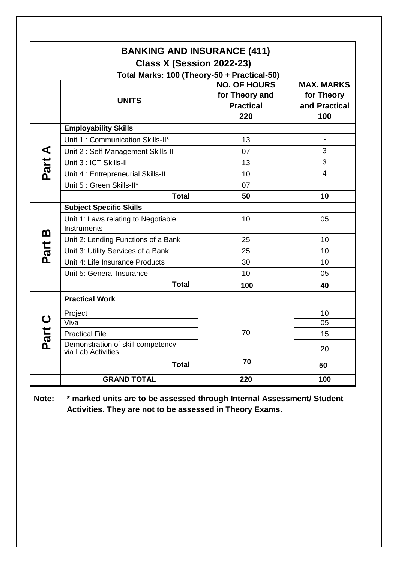|        | <b>BANKING AND INSURANCE (411)</b><br>Class X (Session 2022-23) |                                                                  |                                                         |
|--------|-----------------------------------------------------------------|------------------------------------------------------------------|---------------------------------------------------------|
|        | Total Marks: 100 (Theory-50 + Practical-50)<br><b>UNITS</b>     | <b>NO. OF HOURS</b><br>for Theory and<br><b>Practical</b><br>220 | <b>MAX. MARKS</b><br>for Theory<br>and Practical<br>100 |
|        | <b>Employability Skills</b>                                     |                                                                  |                                                         |
|        | Unit 1: Communication Skills-II*                                | 13                                                               | $\qquad \qquad \blacksquare$                            |
| Part A | Unit 2: Self-Management Skills-II                               | 07                                                               | 3                                                       |
|        | Unit 3 : ICT Skills-II                                          | 13                                                               | 3                                                       |
|        | Unit 4 : Entrepreneurial Skills-II                              | 10                                                               | 4                                                       |
|        | Unit 5 : Green Skills-II*                                       | 07                                                               |                                                         |
|        | <b>Total</b>                                                    | 50                                                               | 10                                                      |
|        | <b>Subject Specific Skills</b>                                  |                                                                  |                                                         |
|        | Unit 1: Laws relating to Negotiable<br>Instruments              | 10                                                               | 05                                                      |
|        | Unit 2: Lending Functions of a Bank                             | 25                                                               | 10                                                      |
| Part B | Unit 3: Utility Services of a Bank                              | 25                                                               | 10                                                      |
|        | Unit 4: Life Insurance Products                                 | 30                                                               | 10                                                      |
|        | Unit 5: General Insurance                                       | 10                                                               | 05                                                      |
|        | <b>Total</b>                                                    | 100                                                              | 40                                                      |
|        | <b>Practical Work</b>                                           |                                                                  |                                                         |
|        | Project                                                         |                                                                  | 10                                                      |
|        | Viva                                                            |                                                                  | 05                                                      |
|        | <b>Practical File</b>                                           | 70                                                               | 15                                                      |
| ρ<br>Δ | Demonstration of skill competency<br>via Lab Activities         |                                                                  | 20                                                      |
|        | <b>Total</b>                                                    | 70                                                               | 50                                                      |
|        | <b>GRAND TOTAL</b>                                              | 220                                                              | 100                                                     |

**Note: \* marked units are to be assessed through Internal Assessment/ Student Activities. They are not to be assessed in Theory Exams.**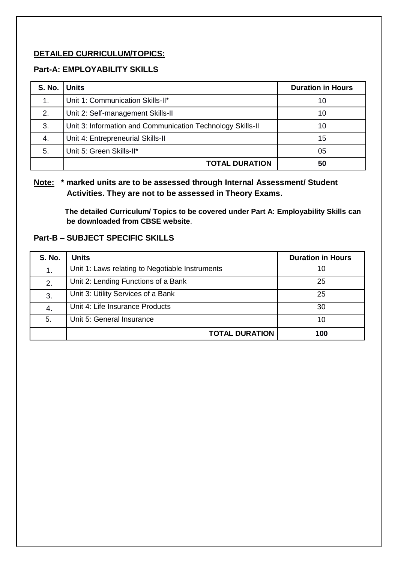#### **DETAILED CURRICULUM/TOPICS:**

# **Part-A: EMPLOYABILITY SKILLS**

| S. No. Units |                                                            | <b>Duration in Hours</b> |
|--------------|------------------------------------------------------------|--------------------------|
| 1.           | Unit 1: Communication Skills-II*                           | 10                       |
| 2.           | Unit 2: Self-management Skills-II                          | 10                       |
| 3.           | Unit 3: Information and Communication Technology Skills-II | 10                       |
| 4.           | Unit 4: Entrepreneurial Skills-II                          | 15                       |
| 5.           | Unit 5: Green Skills-II*                                   | 05                       |
|              | <b>TOTAL DURATION</b>                                      | 50                       |

# **Note: \* marked units are to be assessed through Internal Assessment/ Student Activities. They are not to be assessed in Theory Exams.**

 **The detailed Curriculum/ Topics to be covered under Part A: Employability Skills can be downloaded from CBSE website**.

#### **Part-B – SUBJECT SPECIFIC SKILLS**

| <b>S. No.</b> | <b>Units</b>                                    | <b>Duration in Hours</b> |
|---------------|-------------------------------------------------|--------------------------|
| 1.            | Unit 1: Laws relating to Negotiable Instruments | 10                       |
| 2.            | Unit 2: Lending Functions of a Bank             | 25                       |
| 3.            | Unit 3: Utility Services of a Bank              | 25                       |
| 4.            | Unit 4: Life Insurance Products                 | 30                       |
| 5.            | Unit 5: General Insurance                       | 10                       |
|               | <b>TOTAL DURATION</b>                           | 100                      |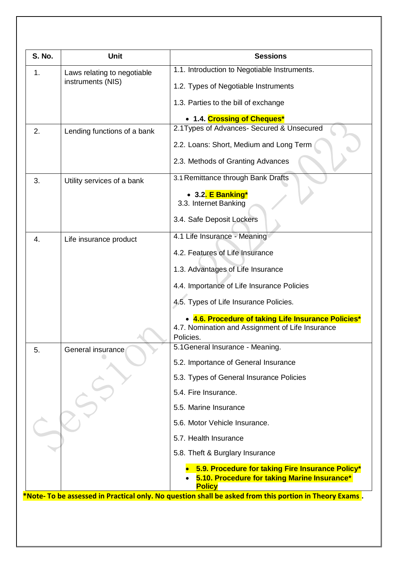| <b>S. No.</b> | <b>Unit</b>                 | <b>Sessions</b>                                                                                                      |
|---------------|-----------------------------|----------------------------------------------------------------------------------------------------------------------|
| 1.            | Laws relating to negotiable | 1.1. Introduction to Negotiable Instruments.                                                                         |
|               | instruments (NIS)           | 1.2. Types of Negotiable Instruments                                                                                 |
|               |                             | 1.3. Parties to the bill of exchange                                                                                 |
|               |                             | • 1.4. Crossing of Cheques*                                                                                          |
| 2.            | Lending functions of a bank | 2.1 Types of Advances- Secured & Unsecured                                                                           |
|               |                             | 2.2. Loans: Short, Medium and Long Term                                                                              |
|               |                             | 2.3. Methods of Granting Advances                                                                                    |
| 3.            | Utility services of a bank  | 3.1 Remittance through Bank Drafts                                                                                   |
|               |                             | • 3.2. E Banking*<br>3.3. Internet Banking                                                                           |
|               |                             | 3.4. Safe Deposit Lockers                                                                                            |
| 4.            | Life insurance product      | 4.1 Life Insurance - Meaning                                                                                         |
|               |                             | 4.2. Features of Life Insurance                                                                                      |
|               |                             | 1.3. Advantages of Life Insurance                                                                                    |
|               |                             | 4.4. Importance of Life Insurance Policies                                                                           |
|               |                             | 4.5. Types of Life Insurance Policies.                                                                               |
|               |                             | • 4.6. Procedure of taking Life Insurance Policies*<br>4.7. Nomination and Assignment of Life Insurance<br>Policies. |
| 5.            | General insurance           | 5.1General Insurance - Meaning.                                                                                      |
|               |                             | 5.2. Importance of General Insurance                                                                                 |
|               |                             | 5.3. Types of General Insurance Policies                                                                             |
|               |                             | 5.4. Fire Insurance.                                                                                                 |
|               |                             | 5.5. Marine Insurance                                                                                                |
|               |                             | 5.6. Motor Vehicle Insurance.                                                                                        |
|               |                             | 5.7. Health Insurance                                                                                                |
|               |                             | 5.8. Theft & Burglary Insurance                                                                                      |
|               |                             | 5.9. Procedure for taking Fire Insurance Policy*<br>5.10. Procedure for taking Marine Insurance*<br><b>Policy</b>    |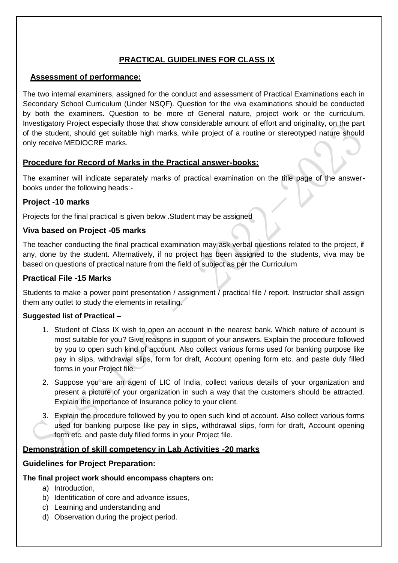# **PRACTICAL GUIDELINES FOR CLASS IX**

# **Assessment of performance:**

The two internal examiners, assigned for the conduct and assessment of Practical Examinations each in Secondary School Curriculum (Under NSQF). Question for the viva examinations should be conducted by both the examiners. Question to be more of General nature, project work or the curriculum. Investigatory Project especially those that show considerable amount of effort and originality, on the part of the student, should get suitable high marks, while project of a routine or stereotyped nature should only receive MEDIOCRE marks.

# **Procedure for Record of Marks in the Practical answer-books:**

The examiner will indicate separately marks of practical examination on the title page of the answerbooks under the following heads:-

# **Project -10 marks**

Projects for the final practical is given below .Student may be assigned

# **Viva based on Project -05 marks**

The teacher conducting the final practical examination may ask verbal questions related to the project, if any, done by the student. Alternatively, if no project has been assigned to the students, viva may be based on questions of practical nature from the field of subject as per the Curriculum

#### **Practical File -15 Marks**

Students to make a power point presentation / assignment  $\overline{I}$  practical file / report. Instructor shall assign them any outlet to study the elements in retailing.

#### **Suggested list of Practical –**

- 1. Student of Class IX wish to open an account in the nearest bank. Which nature of account is most suitable for you? Give reasons in support of your answers. Explain the procedure followed by you to open such kind of account. Also collect various forms used for banking purpose like pay in slips, withdrawal slips, form for draft, Account opening form etc. and paste duly filled forms in your Project file.
- 2. Suppose you are an agent of LIC of India, collect various details of your organization and present a picture of your organization in such a way that the customers should be attracted. Explain the importance of Insurance policy to your client.
- 3. Explain the procedure followed by you to open such kind of account. Also collect various forms used for banking purpose like pay in slips, withdrawal slips, form for draft, Account opening form etc. and paste duly filled forms in your Project file.

# **Demonstration of skill competency in Lab Activities -20 marks**

#### **Guidelines for Project Preparation:**

# **The final project work should encompass chapters on:**

- a) Introduction,
- b) Identification of core and advance issues,
- c) Learning and understanding and
- d) Observation during the project period.